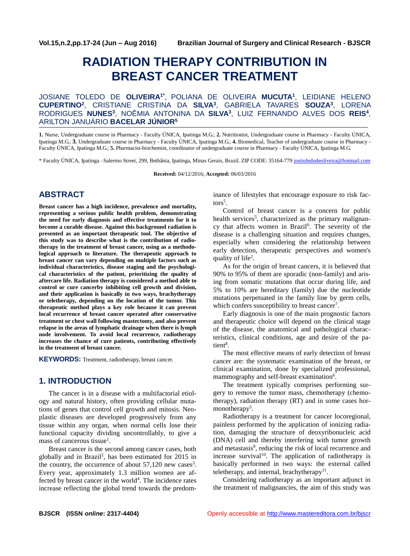# **RADIATION THERAPY CONTRIBUTION IN BREAST CANCER TREATMENT**

JOSIANE TOLEDO DE **OLIVEIRA1\*** , POLIANA DE OLIVEIRA **MUCUTA<sup>1</sup>** , LEIDIANE HELENO **CUPERTINO<sup>2</sup>** , CRISTIANE CRISTINA DA **SILVA<sup>3</sup>** , GABRIELA TAVARES **SOUZA<sup>3</sup>** , LORENA RODRIGUES **NUNES<sup>3</sup>** , NOÊMIA ANTONINA DA **SILVA<sup>3</sup>** , LUIZ FERNANDO ALVES DOS **REIS<sup>4</sup>** , ARILTON JANUÁRIO **BACELAR JÚNIOR<sup>5</sup>**

**1.** Nurse, Undergraduate course in Pharmacy - Faculty ÚNICA, Ipatinga M.G.; **2.** Nutritionist, Undergraduate course in Pharmacy - Faculty ÚNICA, Ipatinga M.G.; **3.** Undergraduate course in Pharmacy - Faculty ÚNICA, Ipatinga M.G.; **4.** Biomedical, Teacher of undergraduate course in Pharmacy - Faculty ÚNICA, Ipatinga M.G.; **5.** Pharmacist-biochemist, coordinator of undergraduate course in Pharmacy - Faculty ÚNICA, Ipatinga M.G.

\* Faculty ÚNICA, Ipatinga –Salermo Street, 299, Bethânia, Ipatinga, Minas Gerais, Brazil. ZIP CODE: 35164-779 [jositoledodeoliveira@hotmail.com](mailto:jositoledodeoliveira@hotmail.com)

**Received:** 04/12/2016; **Accepted:** 06/03/2016

# **ABSTRACT**

**Breast cancer has a high incidence, prevalence and mortality, representing a serious public health problem, demonstrating the need for early diagnosis and effective treatments for it to become a curable disease. Against this background radiation is presented as an important therapeutic tool. The objective of this study was to describe what is the contribution of radiotherapy in the treatment of breast cancer, using as a methodological approach to literature. The therapeutic approach to breast cancer can vary depending on multiple factors such as individual characteristics, disease staging and the psychological characteristics of the patient, prioritizing the quality of aftercare life. Radiation therapy is considered a method able to control or cure cancerby inhibiting cell growth and division, and their application is basically in two ways, brachytherapy or teletherapy, depending on the location of the tumor. This therapeutic method plays a key role because it can prevent local recurrence of breast cancer operated after conservative treatment or chest wall following mastectomy, and also prevent relapse in the areas of lymphatic drainage when there is lymph node involvement. To avoid local recurrence, radiotherapy increases the chance of cure patients, contributing effectively in the treatment of breast cancer.**

**KEYWORDS:** Treatment, radiotherapy, breast cancer.

# **1. INTRODUCTION**

The cancer is in a disease with a multifactorial etiology and natural history, often providing cellular mutations of genes that control cell growth and mitosis. Neoplastic diseases are developed progressively from any tissue within any organ, when normal cells lose their functional capacity dividing uncontrollably, to give a mass of cancerous tissue<sup>1</sup>.

Breast cancer is the second among cancer cases, both globally and in Brazil<sup>2</sup> , has been estimated for 2015 in the country, the occurrence of about  $57,120$  new cases<sup>3</sup>. Every year, approximately 1.3 million women are affected by breast cancer in the world<sup>4</sup>. The incidence rates increase reflecting the global trend towards the predominance of lifestyles that encourage exposure to risk factors<sup>5</sup>.

Control of breast cancer is a concern for public health services<sup>5</sup>, characterized as the primary malignancy that affects women in Brazil<sup>6</sup>. The severity of the disease is a challenging situation and requires changes, especially when considering the relationship between early detection, therapeutic perspectives and women's quality of life<sup>2</sup>.

As for the origin of breast cancers, it is believed that 90% to 95% of them are sporadic (non-family) and arising from somatic mutations that occur during life, and 5% to 10% are hereditary (family) due the nucleotide mutations perpetuated in the family line by germ cells, which confers susceptibility to breast cancer<sup>7</sup>.

Early diagnosis is one of the main prognostic factors and therapeutic choice will depend on the clinical stage of the disease, the anatomical and pathological characteristics, clinical conditions, age and desire of the patient<sup>8</sup>.

The most effective means of early detection of breast cancer are: the systematic examination of the breast, or clinical examination, done by specialized professional, mammography and self-breast examination<sup>6</sup>.

The treatment typically comprises performing surgery to remove the tumor mass, chemotherapy (chemotherapy), radiation therapy (RT) and in some cases hormonotherapy<sup>5</sup>.

Radiotherapy is a treatment for cancer locoregional, painless performed by the application of ionizing radiation, damaging the structure of deoxyribonucleic acid (DNA) cell and thereby interfering with tumor growth and metastasis<sup>9</sup>, reducing the risk of local recurrence and increase survival<sup>10</sup>. The application of radiotherapy is basically performed in two ways: the external called teletherapy, and internal, brachytherapy $^{11}$ .

Considering radiotherapy as an important adjunct in the treatment of malignancies, the aim of this study was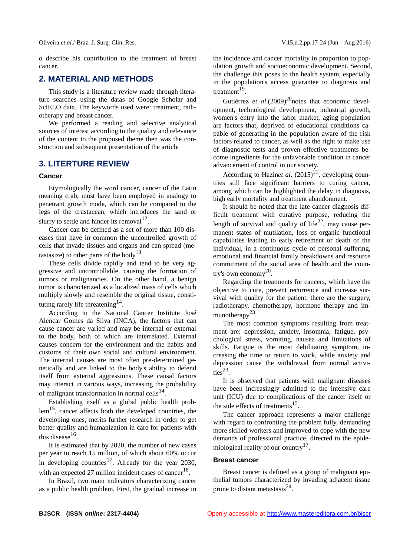o describe his contribution to the treatment of breast cancer.

# **2. MATERIAL AND METHODS**

This study is a literature review made through literature searches using the datas of Google Scholar and SciELO data. The keywords used were: treatment, radiotherapy and breast cancer.

We performed a reading and selective analytical sources of interest according to the quality and relevance of the content to the proposed theme then was the construction and subsequent presentation of the article

## **3. LITERTURE REVIEW**

#### **Cancer**

Etymologically the word cancer, cancer of the Latin meaning crab, must have been employed in analogy to penetrant growth mode, which can be compared to the legs of the crustacean, which introduces the sand or slurry to settle and hinder its removal  $12$ .

Cancer can be defined as a set of more than 100 diseases that have in common the uncontrolled growth of cells that invade tissues and organs and can spread (metastasize) to other parts of the body<sup>13</sup>.

These cells divide rapidly and tend to be very aggressive and uncontrollable, causing the formation of tumors or malignancies. On the other hand, a benign tumor is characterized as a localized mass of cells which multiply slowly and resemble the original tissue, constituting rarely life threatening  $14$ .

According to the National Cancer Institute José Alencar Gomes da Silva (INCA), the factors that can cause cancer are varied and may be internal or external to the body, both of which are interrelated. External causes concern for the environment and the habits and customs of their own social and cultural environment. The internal causes are most often pre-determined genetically and are linked to the body's ability to defend itself from external aggressions. These causal factors may interact in various ways, increasing the probability of malignant transformation in normal cells $^{14}$ .

Establishing itself as a global public health problem<sup>15</sup>, cancer affects both the developed countries, the developing ones, merits further research in order to get better quality and humanization in care for patients with this disease $16$ .

It is estimated that by 2020, the number of new cases per year to reach 15 million, of which about 60% occur in developing countries<sup>17</sup>. Already for the year 2030, with an expected 27 million incident cases of cancer<sup>18</sup>.

In Brazil, two main indicators characterizing cancer as a public health problem. First, the gradual increase in the incidence and cancer mortality in proportion to population growth and socioeconomic development. Second, the challenge this poses to the health system, especially in the population's access guarantee to diagnosis and treatment<sup>19</sup>.

Gutiérrez *et al.*(2009)<sup>20</sup>notes that economic development, technological development, industrial growth, women's entry into the labor market, aging population are factors that, deprived of educational conditions capable of generating in the population aware of the risk factors related to cancer, as well as the right to make use of diagnostic tests and proven effective treatments become ingredients for the unfavorable condition in cancer advancement of control in our society.

According to Hazinet al.  $(2015)^{21}$ , developing countries still face significant barriers to curing cancer, among which can be highlighted the delay in diagnosis, high early mortality and treatment abandonment.

It should be noted that the late cancer diagnosis difficult treatment with curative purpose, reducing the length of survival and quality of life<sup>22</sup>, may cause permanent states of mutilation, loss of organic functional capabilities leading to early retirement or death of the individual, in a continuous cycle of personal suffering, emotional and financial family breakdowns and resource commitment of the social area of health and the country's own economy $^{20}$ .

Regarding the treatments for cancers, which have the objective to cure, prevent recurrence and increase survival with quality for the patient, there are the surgery, radiotherapy, chemotherapy, hormone therapy and immunotherapy $^{23}$ .

The most common symptoms resulting from treatment are: depression, anxiety, insomnia, fatigue, psychological stress, vomiting, nausea and limitations of skills. Fatigue is the most debilitating symptom, increasing the time to return to work, while anxiety and depression cause the withdrawal from normal activi $ties^{23}$ .

It is observed that patients with malignant diseases have been increasingly admitted to the intensive care unit (ICU) due to complications of the cancer itself or the side effects of treatments $^{15}$ .

The cancer approach represents a major challenge with regard to confronting the problem fully, demanding more skilled workers and improved to cope with the new demands of professional practice, directed to the epidemiological reality of our country $17$ .

### **Breast cancer**

Breast cancer is defined as a group of malignant epithelial tumors characterized by invading adjacent tissue prone to distant metastasis $^{24}$ .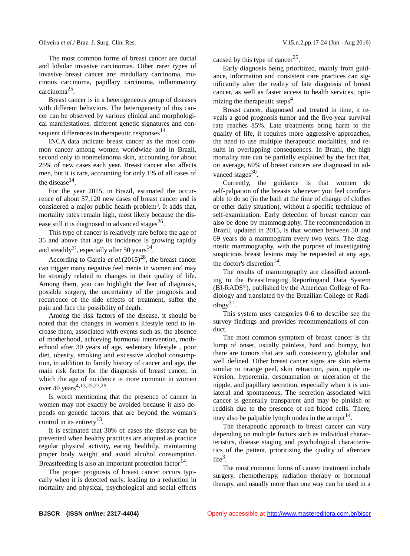The most common forms of breast cancer are ductal and lobular invasive carcinomas. Other rarer types of invasive breast cancer are: medullary carcinoma, mucinous carcinoma, papillary carcinoma, inflammatory carcinoma<sup>25</sup>.

Breast cancer is in a heterogeneous group of diseases with different behaviors. The heterogeneity of this cancer can be observed by various clinical and morphological manifestations, different genetic signatures and consequent differences in the rapeutic responses  $14$ .

INCA data indicate breast cancer as the most common cancer among women worldwide and in Brazil, second only to nonmelanoma skin, accounting for about 25% of new cases each year. Breast cancer also affects men, but it is rare, accounting for only 1% of all cases of the disease $^{14}$ .

For the year 2015, in Brazil, estimated the occurrence of about 57,120 new cases of breast cancer and is considered a major public health problem<sup>3</sup>. It adds that, mortality rates remain high, most likely because the disease still it is diagnosed in advanced stages $^{26}$ .

This type of cancer is relatively rare before the age of 35 and above that age its incidence is growing rapidly and steadily<sup>27</sup>, especially after 50 years<sup>14</sup>.

According to Garcia *et al.*(2015)<sup>28</sup>, the breast cancer can trigger many negative feel ments in women and may be strongly related to changes in their quality of life. Among them, you can highlight the fear of diagnosis, possible surgery, the uncertainty of the prognosis and recurrence of the side effects of treatment, suffer the pain and face the possibility of death.

Among the risk factors of the disease, it should be noted that the changes in women's lifestyle tend to increase them, associated with events such as: the absence of motherhood, achieving hormonal intervention, motherhood after 30 years of age, sedentary lifestyle , poor diet, obesity, smoking and excessive alcohol consumption, in addition to family history of cancer and age, the main risk factor for the diagnosis of breast cancer, in which the age of incidence is more common in women over 40 years<sup>4,13,25,27,29</sup>.

Is worth mentioning that the presence of cancer in women may not exactly be avoided because it also depends on genetic factors that are beyond the woman's control in its entirety<sup>13</sup>.

It is estimated that 30% of cases the disease can be prevented when healthy practices are adopted as practice regular physical activity, eating healthily, maintaining proper body weight and avoid alcohol consumption. Breastfeeding is also an important protection factor<sup>14</sup>.

The proper prognosis of breast cancer occurs typically when it is detected early, leading to a reduction in mortality and physical, psychological and social effects caused by this type of cancer<sup>25</sup>.

Early diagnosis being prioritized, mainly from guidance, information and consistent care practices can significantly alter the reality of late diagnosis of breast cancer, as well as faster access to health services, optimizing the therapeutic steps<sup>4</sup>.

Breast cancer, diagnosed and treated in time, it reveals a good prognosis tumor and the five-year survival rate reaches 85%. Late treatments bring harm to the quality of life, it requires more aggressive approaches, the need to use multiple therapeutic modalities, and results in overlapping consequences. In Brazil, the high mortality rate can be partially explained by the fact that, on average, 60% of breast cancers are diagnosed in advanced stages $30$ .

Currently, the guidance is that women do self-palpation of the breasts whenever you feel comfortable to do so (in the bath at the time of change of clothes or other daily situation), without a specific technique of self-examination. Early detection of breast cancer can also be done by mammography. The recommendation in Brazil, updated in 2015, is that women between 50 and 69 years do a mammogram every two years. The diagnostic mammography, with the purpose of investigating suspicious breast lesions may be requested at any age, the doctor's discretion<sup>14</sup>.

The results of mammography are classified according to the BreastImaging Reportingand Data System (BI-RADS®), published by the American College of Radiology and translated by the Brazilian College of Radi- $\log y^{31}$ .

This system uses categories 0-6 to describe see the survey findings and provides recommendations of conduct.

The most common symptom of breast cancer is the lump of onset, usually painless, hard and bumpy, but there are tumors that are soft consistency, globular and well defined. Other breast cancer signs are skin edema similar to orange peel, skin retraction, pain, nipple inversion, hyperemia, desquamation or ulceration of the nipple, and papillary secretion, especially when it is unilateral and spontaneous. The secretion associated with cancer is generally transparent and may be pinkish or reddish due to the presence of red blood cells. There, may also be palpable lymph nodes in the armpit $14$ .

The therapeutic approach to breast cancer can vary depending on multiple factors such as individual characteristics, disease staging and psychological characteristics of the patient, prioritizing the quality of aftercare  $life^3$ .

The most common forms of cancer treatment include surgery, chemotherapy, radiation therapy or hormonal therapy, and usually more than one way can be used in a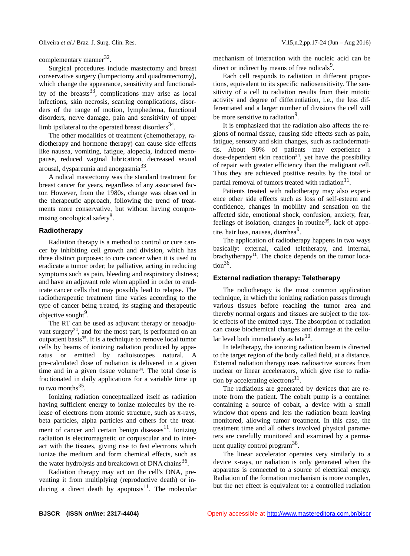complementary manner<sup>32</sup>.

Surgical procedures include mastectomy and breast conservative surgery (lumpectomy and quadrantectomy), which change the appearance, sensitivity and functionality of the breasts<sup>33</sup>, complications may arise as local infections, skin necrosis, scarring complications, disorders of the range of motion, lymphedema, functional disorders, nerve damage, pain and sensitivity of upper limb ipsilateral to the operated breast disorders $34$ .

The other modalities of treatment (chemotherapy, radiotherapy and hormone therapy) can cause side effects like nausea, vomiting, fatigue, alopecia, induced menopause, reduced vaginal lubrication, decreased sexual arousal, dyspareunia and anorgasmia<sup>33</sup>.

A radical mastectomy was the standard treatment for breast cancer for years, regardless of any associated factor. However, from the 1980s, change was observed in the therapeutic approach, following the trend of treatments more conservative, but without having compromising oncological safety<sup>8</sup>.

#### **Radiotherapy**

Radiation therapy is a method to control or cure cancer by inhibiting cell growth and division, which has three distinct purposes: to cure cancer when it is used to eradicate a tumor order; be palliative, acting in reducing symptoms such as pain, bleeding and respiratory distress; and have an adjuvant role when applied in order to eradicate cancer cells that may possibly lead to relapse. The radiotherapeutic treatment time varies according to the type of cancer being treated, its staging and therapeutic objective sought<sup>9</sup>.

The RT can be used as adjuvant therapy or neoadjuvant surgery $34$ , and for the most part, is performed on an outpatient basis<sup>35</sup>. It is a technique to remove local tumor cells by beams of ionizing radiation produced by apparatus or emitted by radioisotopes natural. A pre-calculated dose of radiation is delivered in a given time and in a given tissue volume<sup>34</sup>. The total dose is fractionated in daily applications for a variable time up to two months  $35$ .

Ionizing radiation conceptualized itself as radiation having sufficient energy to ionize molecules by the release of electrons from atomic structure, such as x-rays, beta particles, alpha particles and others for the treatment of cancer and certain benign diseases $^{11}$ . Ionizing radiation is electromagnetic or corpuscular and to interact with the tissues, giving rise to fast electrons which ionize the medium and form chemical effects, such as the water hydrolysis and breakdown of DNA chains $^{36}$ .

Radiation therapy may act on the cell's DNA, preventing it from multiplying (reproductive death) or inducing a direct death by apoptosis<sup>11</sup>. The molecular mechanism of interaction with the nucleic acid can be direct or indirect by means of free radicals<sup>9</sup>.

Each cell responds to radiation in different proportions, equivalent to its specific radiosensitivity. The sensitivity of a cell to radiation results from their mitotic activity and degree of differentiation, i.e., the less differentiated and a larger number of divisions the cell will be more sensitive to radiation<sup>9</sup>.

It is emphasized that the radiation also affects the regions of normal tissue, causing side effects such as pain, fatigue, sensory and skin changes, such as radiodermatitis. About 90% of patients may experience a dose-dependent skin reaction<sup>34</sup>, yet have the possibility of repair with greater efficiency than the malignant cell. Thus they are achieved positive results by the total or partial removal of tumors treated with radiation $^{11}$ .

Patients treated with radiotherapy may also experience other side effects such as loss of self-esteem and confidence, changes in mobility and sensation on the affected side, emotional shock, confusion, anxiety, fear, feelings of isolation, changes in routine<sup>35</sup>, lack of appetite, hair loss, nausea, diarrhea<sup>9</sup>.

The application of radiotherapy happens in two ways basically: external, called teletherapy, and internal, brachytherapy<sup>11</sup>. The choice depends on the tumor loca- $\text{tion}^{36}$ .

#### **External radiation therapy: Teletherapy**

The radiotherapy is the most common application technique, in which the ionizing radiation passes through various tissues before reaching the tumor area and thereby normal organs and tissues are subject to the toxic effects of the emitted rays. The absorption of radiation can cause biochemical changes and damage at the cellular level both immediately as late $^{10}$ .

In teletherapy, the ionizing radiation beam is directed to the target region of the body called field, at a distance. External radiation therapy uses radioactive sources from nuclear or linear accelerators, which give rise to radiation by accelerating electrons $^{11}$ .

The radiations are generated by devices that are remote from the patient. The cobalt pump is a container containing a source of cobalt, a device with a small window that opens and lets the radiation beam leaving monitored, allowing tumor treatment. In this case, the treatment time and all others involved physical parameters are carefully monitored and examined by a permanent quality control program<sup>36</sup>.

The linear accelerator operates very similarly to a device x-rays, or radiation is only generated when the apparatus is connected to a source of electrical energy. Radiation of the formation mechanism is more complex, but the net effect is equivalent to: a controlled radiation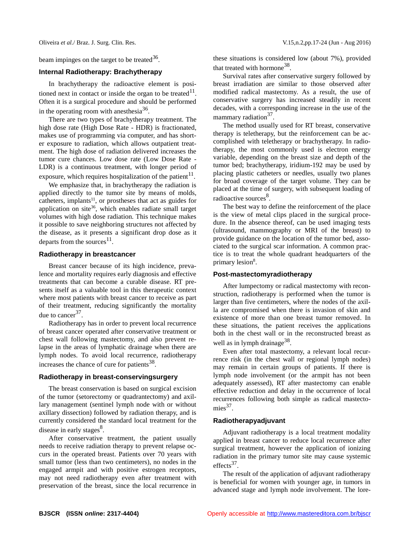beam impinges on the target to be treated  $36$ .

## **Internal Radiotherapy: Brachytherapy**

In brachytherapy the radioactive element is positioned next in contact or inside the organ to be treated $11$ . Often it is a surgical procedure and should be performed in the operating room with anesthesia $36$ .

There are two types of brachytherapy treatment. The high dose rate (High Dose Rate - HDR) is fractionated, makes use of programming via computer, and has shorter exposure to radiation, which allows outpatient treatment. The high dose of radiation delivered increases the tumor cure chances. Low dose rate (Low Dose Rate - LDR) is a continuous treatment, with longer period of exposure, which requires hospitalization of the patient<sup>11</sup>.

We emphasize that, in brachytherapy the radiation is applied directly to the tumor site by means of molds, catheters, implants<sup>11</sup>, or prostheses that act as guides for application on site<sup>36</sup>, which enables radiate small target volumes with high dose radiation. This technique makes it possible to save neighboring structures not affected by the disease, as it presents a significant drop dose as it departs from the sources $^{11}$ .

#### **Radiotherapy in breastcancer**

Breast cancer because of its high incidence, prevalence and mortality requires early diagnosis and effective treatments that can become a curable disease. RT presents itself as a valuable tool in this therapeutic context where most patients with breast cancer to receive as part of their treatment, reducing significantly the mortality due to cancer $37$ .

Radiotherapy has in order to prevent local recurrence of breast cancer operated after conservative treatment or chest wall following mastectomy, and also prevent relapse in the areas of lymphatic drainage when there are lymph nodes. To avoid local recurrence, radiotherapy increases the chance of cure for patients<sup>38</sup>.

### **Radiotherapy in breast-conservingsurgery**

The breast conservation is based on surgical excision of the tumor (setorectomy or quadrantectomy) and axillary management (sentinel lymph node with or without axillary dissection) followed by radiation therapy, and is currently considered the standard local treatment for the disease in early stages<sup>8</sup>.

After conservative treatment, the patient usually needs to receive radiation therapy to prevent relapse occurs in the operated breast. Patients over 70 years with small tumor (less than two centimeters), no nodes in the engaged armpit and with positive estrogen receptors, may not need radiotherapy even after treatment with preservation of the breast, since the local recurrence in

these situations is considered low (about 7%), provided that treated with hormone<sup>38</sup>.

Survival rates after conservative surgery followed by breast irradiation are similar to those observed after modified radical mastectomy. As a result, the use of conservative surgery has increased steadily in recent decades, with a corresponding increase in the use of the mammary radiation<sup>37</sup>.

The method usually used for RT breast, conservative therapy is teletherapy, but the reinforcement can be accomplished with teletherapy or brachytherapy. In radiotherapy, the most commonly used is electron energy variable, depending on the breast size and depth of the tumor bed; brachytherapy, iridium-192 may be used by placing plastic catheters or needles, usually two planes for broad coverage of the target volume. They can be placed at the time of surgery, with subsequent loading of radioactive sources<sup>8</sup>.

The best way to define the reinforcement of the place is the view of metal clips placed in the surgical procedure. In the absence thereof, can be used imaging tests (ultrasound, mammography or MRI of the breast) to provide guidance on the location of the tumor bed, associated to the surgical scar information. A common practice is to treat the whole quadrant headquarters of the primary lesion<sup>8</sup>.

#### **Post-mastectomyradiotherapy**

After lumpectomy or radical mastectomy with reconstruction, radiotherapy is performed when the tumor is larger than five centimeters, where the nodes of the axilla are compromised when there is invasion of skin and existence of more than one breast tumor removed. In these situations, the patient receives the applications both in the chest wall or in the reconstructed breast as well as in lymph drainage<sup>38</sup>.

Even after total mastectomy, a relevant local recurrence risk (in the chest wall or regional lymph nodes) may remain in certain groups of patients. If there is lymph node involvement (or the armpit has not been adequately assessed), RT after mastectomy can enable effective reduction and delay in the occurrence of local recurrences following both simple as radical mastecto $mies<sup>37</sup>$ .

## **Radiotherapyadjuvant**

Adjuvant radiotherapy is a local treatment modality applied in breast cancer to reduce local recurrence after surgical treatment, however the application of ionizing radiation in the primary tumor site may cause systemic effects $37$ .

The result of the application of adjuvant radiotherapy is beneficial for women with younger age, in tumors in advanced stage and lymph node involvement. The lore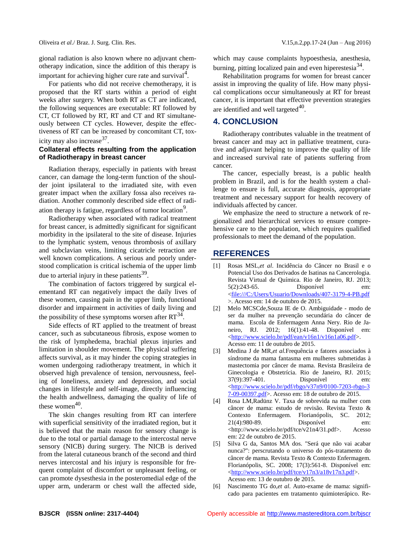gional radiation is also known where no adjuvant chemotherapy indication, since the addition of this therapy is important for achieving higher cure rate and survival $4$ .

For patients who did not receive chemotherapy, it is proposed that the RT starts within a period of eight weeks after surgery. When both RT as CT are indicated, the following sequences are executable: RT followed by CT, CT followed by RT, RT and CT and RT simultaneously between CT cycles. However, despite the effectiveness of RT can be increased by concomitant CT, toxicity may also increase<sup>37</sup>.

# **Collateral effects resulting from the application of Radiotherapy in breast cancer**

Radiation therapy, especially in patients with breast cancer, can damage the long-term function of the shoulder joint ipsilateral to the irradiated site, with even greater impact when the axillary fossa also receives radiation. Another commonly described side effect of radiation therapy is fatigue, regardless of tumor location<sup>9</sup>.

Radiotherapy when associated with radical treatment for breast cancer, is admittedly significant for significant morbidity in the ipsilateral to the site of disease. Injuries to the lymphatic system, venous thrombosis of axillary and subclavian veins, limiting cicatricle retraction are well known complications. A serious and poorly understood complication is critical ischemia of the upper limb due to arterial injury in these patients  $39$ .

The combination of factors triggered by surgical elementand RT can negatively impact the daily lives of these women, causing pain in the upper limb, functional disorder and impairment in activities of daily living and the possibility of these symptoms worsen after  $RT^{34}$ .

Side effects of RT applied to the treatment of breast cancer, such as subcutaneous fibrosis, expose women to the risk of lymphedema, brachial plexus injuries and limitation in shoulder movement. The physical suffering affects survival, as it may hinder the coping strategies in women undergoing radiotherapy treatment, in which it observed high prevalence of tension, nervousness, feeling of loneliness, anxiety and depression, and social changes in lifestyle and self-image, directly influencing the health andwellness, damaging the quality of life of these women $40$ .

The skin changes resulting from RT can interfere with superficial sensitivity of the irradiated region, but it is believed that the main reason for sensory change is due to the total or partial damage to the intercostal nerve sensory (NICB) during surgery. The NICB is derived from the lateral cutaneous branch of the second and third nerves intercostal and his injury is responsible for frequent complaint of discomfort or unpleasant feeling, or can promote dysesthesia in the posteromedial edge of the upper arm, underarm or chest wall the affected side,

which may cause complaints hypoesthesia, anesthesia, burning, pitting localized pain and even hiperestesia<sup>34</sup>.

Rehabilitation programs for women for breast cancer assist in improving the quality of life. How many physical complications occur simultaneously at RT for breast cancer, it is important that effective prevention strategies are identified and well targeted $40$ .

# **4. CONCLUSION**

Radiotherapy contributes valuable in the treatment of breast cancer and may act in palliative treatment, curative and adjuvant helping to improve the quality of life and increased survival rate of patients suffering from cancer.

The cancer, especially breast, is a public health problem in Brazil, and is for the health system a challenge to ensure is full, accurate diagnosis, appropriate treatment and necessary support for health recovery of individuals affected by cancer.

We emphasize the need to structure a network of regionalized and hierarchical services to ensure comprehensive care to the population, which requires qualified professionals to meet the demand of the population.

## **REFERENCES**

- [1] Rosas MSL,*et al*. Incidência do Câncer no Brasil e o Potencial Uso dos Derivados de Isatinas na Cancerologia. Revista Virtual de Química. Rio de Janeiro, RJ. 2013; 5(2):243-65. Disponível em: [<file:///C:/Users/Usuario/Downloads/407-3179-4-PB.pdf](file:///C:/Users/maste/AppData/Local/Microsoft/Downloads/407-3179-4-PB.pdf) >. Acesso em: 14 de outubro de 2015.
- [2] Melo MCSCde,Souza IE de O. Ambiguidade modo de ser da mulher na prevenção secundária do câncer de mama. Escola de Enfermagem Anna Nery. Rio de Janeiro, RJ. 2012; 16(1):41-48. Disponível em: [<http://www.scielo.br/pdf/ean/v16n1/v16n1a06.pdf>](http://www.scielo.br/pdf/ean/v16n1/v16n1a06.pdf). Acesso em: 11 de outubro de 2015.
- [3] Medina J de MR,*et al.*Frequência e fatores associados à síndrome da mama fantasma em mulheres submetidas à mastectomia por câncer de mama. Revista Brasileira de Ginecologia e Obstetrícia. Rio de Janeiro, RJ. 2015; 37(9):397-401. Disponível em: [<http://www.scielo.br/pdf/rbgo/v37n9/0100-7203-rbgo-3](http://www.scielo.br/pdf/rbgo/v37n9/0100-7203-rbgo-37-09-00397.pdf) [7-09-00397.pdf>](http://www.scielo.br/pdf/rbgo/v37n9/0100-7203-rbgo-37-09-00397.pdf). Acesso em: 18 de outubro de 2015.
- [4] Rosa LM,Radünz V. Taxa de sobrevida na mulher com câncer de mama: estudo de revisão*.* Revista Texto & Contexto Enfermagem. Florianópolis, SC. 2012; 21(4):980-89. Disponível em: <http://www.scielo.br/pdf/tce/v21n4/31.pdf>. Acesso em: 22 de outubro de 2015.
- [5] Silva G da, Santos MA dos. "Será que não vai acabar nunca?": perscrutando o universo do pós-tratamento do câncer de mama. Revista Texto & Contexto Enfermagem. Florianópolis, SC. 2008; 17(3):561-8. Disponível em: [<http://www.scielo.br/pdf/tce/v17n3/a18v17n3.pdf>](http://www.scielo.br/pdf/tce/v17n3/a18v17n3.pdf). Acesso em: 13 de outubro de 2015.
- [6] Nascimento TG do,*et al*. Auto-exame de mama: significado para pacientes em tratamento quimioterápico. Re-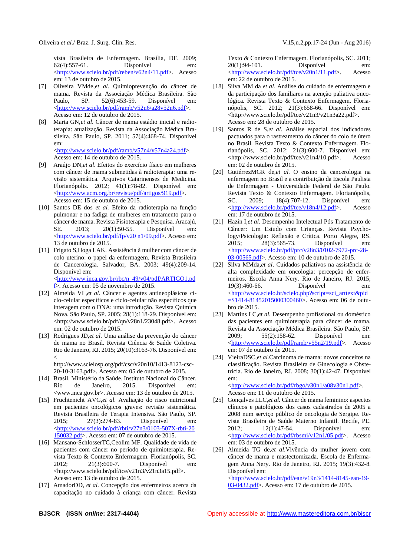vista Brasileira de Enfermagem. Brasília, DF. 2009; 62(4):557-61. Disponível em: [<http://www.scielo.br/pdf/reben/v62n4/11.pdf>](http://www.scielo.br/pdf/reben/v62n4/11.pdf). Acesso em: 13 de outubro de 2015.

- [7] Oliveira VMde,*et al.* Quimioprevenção do câncer de mama. Revista da Associação Médica Brasileira. São Paulo, SP. 52(6):453-59. Disponível em: [<http://www.scielo.br/pdf/ramb/v52n6/a28v52n6.pdf>](http://www.scielo.br/pdf/ramb/v52n6/a28v52n6.pdf). Acesso em: 12 de outubro de 2015.
- [8] Marta GN,*et al*. Câncer de mama estádio inicial e radioterapia: atualização. Revista da Associação Médica Brasileira. São Paulo, SP. 2011; 57(4):468-74. Disponível em:

[<http://www.scielo.br/pdf/ramb/v57n4/v57n4a24.pdf>](http://www.scielo.br/pdf/ramb/v57n4/v57n4a24.pdf). Acesso em: 14 de outubro de 2015.

- [9] Araújo DN,*et al*. Efeitos do exercício físico em mulheres com câncer de mama submetidas à radioterapia: uma revisão sistemática. Arquivos Catarinenses de Medicina. Florianópolis. 2012; 41(1):78-82. Disponível em: [<http://www.acm.org.br/revista/pdf/artigos/919.pdf>](http://www.acm.org.br/revista/pdf/artigos/919.pdf). Acesso em: 15 de outubro de 2015.
- [10] Santos DE dos *et al.* Efeito da radioterapia na função pulmonar e na fadiga de mulheres em tratamento para o câncer de mama. Revista Fisioterapia e Pesquisa. Aracajú, SE. 2013; 20(1):50-55. Disponível em: [<http://www.scielo.br/pdf/fp/v20 n1/09.pdf>](http://www.scielo.br/pdf/fp/v20%20n1/09.pdf). Acesso em: 13 de outubro de 2015.
- [11] Frigato S,Hoga LAK. Assistência à mulher com câncer de colo uterino: o papel da enfermagem. Revista Brasileira de Cancerologia. Salvador, BA. 2003; 49(4):209-14. Disponível em: [<http://www.inca.gov.br/rbc/n\\_49/v04/pdf/ARTIGO1.pd](http://www.inca.gov.br/rbc/n_49/v04/pdf/ARTIGO1.pdf)

[f>](http://www.inca.gov.br/rbc/n_49/v04/pdf/ARTIGO1.pdf). Acesso em: 05 de novembro de 2015.

- [12] Almeida VL,*et al.* Câncer e agentes antineoplásicos ciclo-celular específicos e ciclo-celular não específicos que interagem com o DNA: uma introdução. Revista Química Nova. São Paulo, SP. 2005; 28(1):118-29. Disponível em: <http://www.scielo.br/pdf/qn/v28n1/23048.pdf>. Acesso em: 02 de outubro de 2015.
- [13] Rodrigues JD,*et al.* Uma análise da prevenção do câncer de mama no Brasil. Revista Ciência & Saúde Coletiva. Rio de Janeiro, RJ. 2015; 20(10):3163-76. Disponível em:  $\lt$

http://www.scielosp.org/pdf/csc/v20n10/1413-8123-csc-20-10-3163.pdf>. Acesso em: 05 de outubro de 2015.

- [14] Brasil. Ministério da Saúde. Instituto Nacional do Câncer. Rio de Janeiro, 2015. Disponível em: <www.inca.gov.br>. Acesso em: 13 de outubro de 2015.
- [15] Fruchtenicht AVG,*et al.* Avaliação do risco nutricional em pacientes oncológicos graves: revisão sistemática. Revista Brasileira de Terapia Intensiva. São Paulo, SP. 2015; 27(3):274-83. Disponível em: [<http://www.scielo.br/pdf/rbti/v27n3/0103-507X-rbti-20](http://www.scielo.br/pdf/rbti/v27n3/0103-507X-rbti-20150032.pdf) [150032.pdf>](http://www.scielo.br/pdf/rbti/v27n3/0103-507X-rbti-20150032.pdf). Acesso em: 07 de outubro de 2015.
- [16] Mansano-SchlosserTC,Ceolim MF. Qualidade de vida de pacientes com câncer no período de quimioterapia. Revista Texto & Contexto Enfermagem. Florianópolis, SC. 2012; 21(3):600-7. Disponível em: <http://www.scielo.br/pdf/tce/v21n3/v21n3a15.pdf>. Acesso em: 13 de outubro de 2015.
- [17] AmadorDD, *et al.* Concepção dos enfermeiros acerca da capacitação no cuidado à criança com câncer. Revista

Texto & Contexto Enfermagem. Florianópolis, SC. 2011; 20(1):94-101. Disponível em: [<http://www.scielo.br/pdf/tce/v20n1/11.pdf>](http://www.scielo.br/pdf/tce/v20n1/11.pdf). Acesso em: 22 de outubro de 2015.

- [18] Silva MM da *et al*. Análise do cuidado de enfermagem e da participação dos familiares na atenção paliativa oncológica*.* Revista Texto & Contexto Enfermagem. Florianópolis, SC. 2012; 21(3):658-66. Disponível em: <http://www.scielo.br/pdf/tce/v21n3/v21n3a22.pdf>. Acesso em: 28 de outubro de 2015.
- [19] Santos R de S,*et al.* Análise espacial dos indicadores pactuados para o rastreamento do câncer do colo de útero no Brasil. Revista Texto & Contexto Enfermagem. Florianópolis, SC. 2012; 21(3):600-7. Disponível em: <http://www.scielo.br/pdf/tce/v21n4/10.pdf>. Acesso em: 02 de outubro de 2015.
- [20] GutiérrezMGR de,*et al.* O ensino da cancerologia na enfermagem no Brasil e a contribuição da Escola Paulista de Enfermagem - Universidade Federal de São Paulo. Revista Texto & Contexto Enfermagem. Florianópolis, SC. 2009; 18(4):707-12. Disponível em: [<http://www.scielo.br/pdf/tce/v18n4/12.pdf>](http://www.scielo.br/pdf/tce/v18n4/12.pdf). Acesso em: 17 de outubro de 2015.
- [21] Hazin I,*et al*. Desempenho Intelectual Pós Tratamento de Câncer: Um Estudo com Crianças. Revista Psychology/Psicologia: Reflexão e Crítica. Porto Alegre, RS. 2015; 28(3):565-73. Disponível em: [<http://www.scielo.br/pdf/prc/v28n3/0102-7972-prc-28-](http://www.scielo.br/pdf/prc/v28n3/0102-7972-prc-28-03-00565.pdf) [03-00565.pdf>](http://www.scielo.br/pdf/prc/v28n3/0102-7972-prc-28-03-00565.pdf). Acesso em: 10 de outubro de 2015.
- [22] Silva MMda,*et al*. Cuidados paliativos na assistência de alta complexidade em oncologia: percepção de enfermeiros. Escola Anna Nery. Rio de Janeiro, RJ. 2015; 19(3):460-66. Disponível em: [<http://www.scielo.br/scielo.php?script=sci\\_arttext&pid](http://www.scielo.br/scielo.php?script=sci_arttext&pid=S1414-81452015000300460) [=S1414-81452015000300460>](http://www.scielo.br/scielo.php?script=sci_arttext&pid=S1414-81452015000300460). Acesso em: 06 de outubro de 2015.
- [23] Martins LC,et al. Desempenho profissional ou doméstico das pacientes em quimioterapia para câncer de mama. Revista da Associação Médica Brasileira. São Paulo, SP. 2009; 55(2):158-62. Disponível em: [<http://www.scielo.br/pdf/ramb/v55n2/19.pdf>](http://www.scielo.br/pdf/ramb/v55n2/19.pdf). Acesso em: 07 de outubro de 2015.
- [24] VieiraDSC,*et al.*Carcinoma de mama: novos conceitos na classificação. Revista Brasileira de Ginecologia e Obstetrícia. Rio de Janeiro, RJ. 2008; 30(1):42-47. Disponível em:

[<http://www.scielo.br/pdf/rbgo/v30n1/a08v30n1.pdf>](http://www.scielo.br/pdf/rbgo/v30n1/a08v30n1.pdf). Acesso em: 11 de outubro de 2015.

- [25] Gonçalves LLC, et al. Câncer de mama feminino: aspectos clínicos e patológicos dos casos cadastrados de 2005 a 2008 num serviço público de oncologia de Sergipe. Revista Brasileira de Saúde Materno Infantil. Recife, PE. 2012; 12(1):47-54. Disponível em: [<http://www.scielo.br/pdf/rbsmi/v12n1/05.pdf>](http://www.scielo.br/pdf/rbsmi/v12n1/05.pdf). Acesso em: 03 de outubro de 2015.
- [26] Almeida TG de,*et al*.Vivência da mulher jovem com câncer de mama e mastectomizada. Escola de Enfermagem Anna Nery. Rio de Janeiro, RJ. 2015; 19(3):432-8. Disponível em: [<http://www.scielo.br/pdf/ean/v19n3/1414-8145-ean-19-](http://www.scielo.br/pdf/ean/v19n3/1414-8145-ean-19-03-0432.pdf)

[03-0432.pdf>](http://www.scielo.br/pdf/ean/v19n3/1414-8145-ean-19-03-0432.pdf). Acesso em: 17 de outubro de 2015.